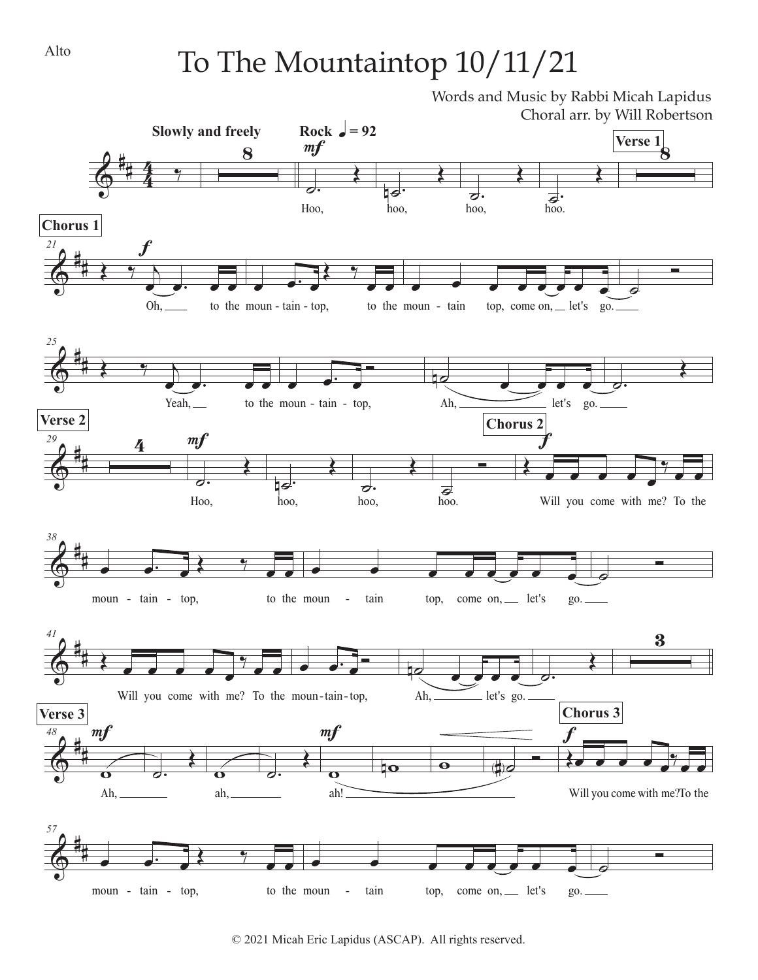## To The Mountaintop 10/11/21

Words and Music by Rabbi Micah Lapidus Choral arr. by Will Robertson